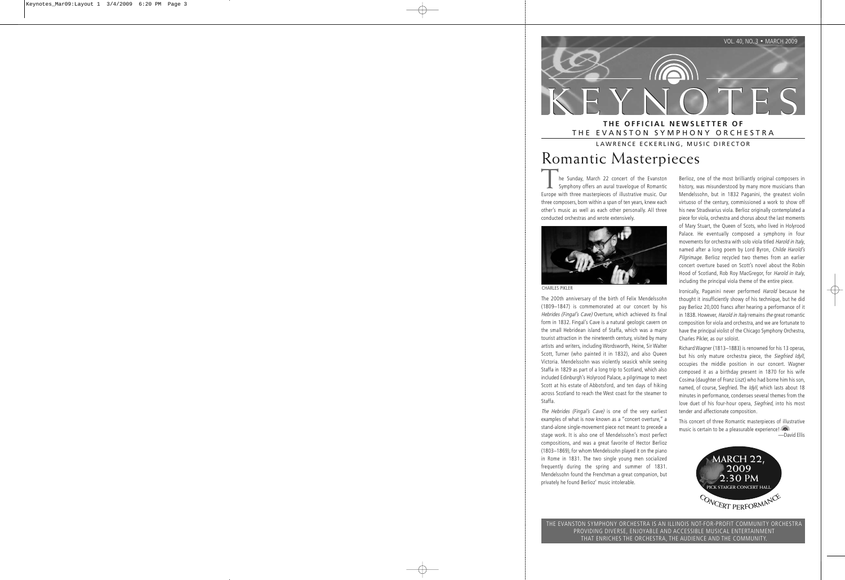

### THE EVANSTON SYMPHONY ORCHESTRA

LAWRENCE ECKERLING, MUSIC DIRECTOR

# Romantic Masterpieces

he Sunday, March 22 concert of the Evanston Symphony offers an aural travelogue of Romantic Europe with three masterpieces of illustrative music. Our three composers, born within a span of ten years, knew each other's music as well as each other personally. All three conducted orchestras and wrote extensively.



CHARLES PIKLER

The 200th anniversary of the birth of Felix Mendelssohn (1809–1847) is commemorated at our concert by his Hebrides (Fingal's Cave) Overture, which achieved its final form in 1832. Fingal's Cave is a natural geologic cavern on the small Hebridean island of Staffa, which was a major tourist attraction in the nineteenth century, visited by many artists and writers, including Wordsworth, Heine, Sir Walter Scott, Turner (who painted it in 1832), and also Queen Victoria. Mendelssohn was violently seasick while seeing Staffa in 1829 as part of a long trip to Scotland, which also included Edinburgh's Holyrood Palace, a pilgrimage to meet Scott at his estate of Abbotsford, and ten days of hiking across Scotland to reach the West coast for the steamer to Staffa.

The Hebrides (Fingal's Cave) is one of the very earliest examples of what is now known as a "concert overture," a stand-alone single-movement piece not meant to precede a stage work. It is also one of Mendelssohn's most perfect compositions, and was a great favorite of Hector Berlioz (1803–1869), for whom Mendelssohn played it on the piano in Rome in 1831. The two single young men socialized frequently during the spring and summer of 1831. Mendelssohn found the Frenchman a great companion, but privately he found Berlioz' music intolerable.

Berlioz, one of the most brilliantly original composers in history, was misunderstood by many more musicians than Mendelssohn, but in 1832 Paganini, the greatest violin virtuoso of the century, commissioned a work to show off his new Stradivarius viola. Berlioz originally contemplated a piece for viola, orchestra and chorus about the last moments of Mary Stuart, the Queen of Scots, who lived in Holyrood Palace. He eventually composed a symphony in four movements for orchestra with solo viola titled Harold in Italy, named after a long poem by Lord Byron, Childe Harold's Pilgrimage. Berlioz recycled two themes from an earlier concert overture based on Scott's novel about the Robin Hood of Scotland, Rob Roy MacGregor, for Harold in Italy, including the principal viola theme of the entire piece.

Ironically, Paganini never performed Harold because he thought it insufficiently showy of his technique, but he did pay Berlioz 20,000 francs after hearing a performance of it in 1838. However, Harold in Italy remains the great romantic composition for viola and orchestra, and we are fortunate to have the principal violist of the Chicago Symphony Orchestra, Charles Pikler, as our soloist.

Richard Wagner (1813–1883) is renowned for his 13 operas, but his only mature orchestra piece, the Siegfried Idyll, occupies the middle position in our concert. Wagner composed it as a birthday present in 1870 for his wife Cosima (daughter of Franz Liszt) who had borne him his son, named, of course, Siegfried. The Idyll, which lasts about 18 minutes in performance, condenses several themes from the love duet of his four-hour opera, Siegfried, into his most tender and affectionate composition.

This concert of three Romantic masterpieces of illustrative music is certain to be a pleasurable experience!

—David Ellis



THE EVANSTON SYMPHONY ORCHESTRA IS AN ILLINOIS NOT-FOR-PROFIT COMMUNITY ORCHESTRA PROVIDING DIVERSE, ENJOYABLE AND ACCESSIBLE MUSICAL ENTERTAINMENT THAT ENRICHES THE ORCHESTRA, THE AUDIENCE AND THE COMMUNITY.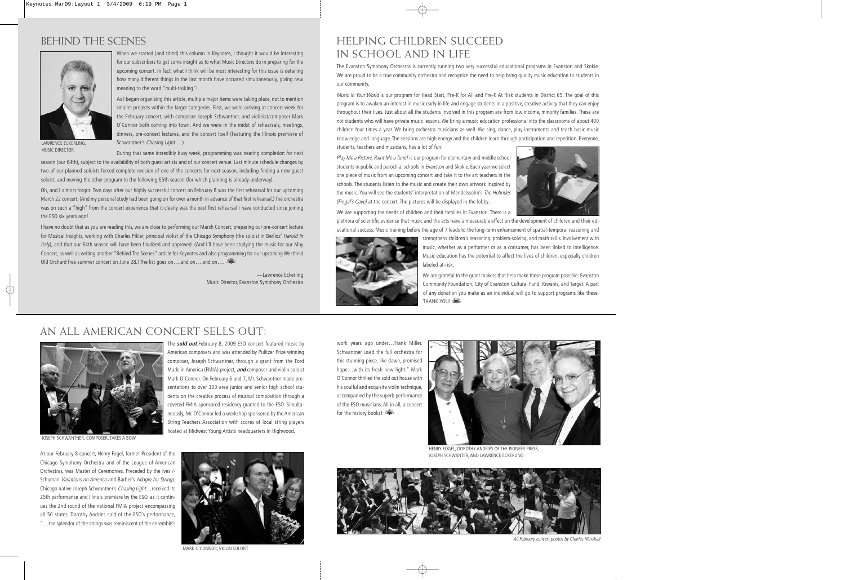## BEHIND THE SCENES



When we started (and titled) this column in Keynotes, I thought it would be interesting for our subscribers to get some insight as to what Music Directors do in preparing for the upcoming concert. In fact, what I think will be most interesting for this issue is detailing how many different things in the last month have occurred simultaneously, giving new meaning to the word "multi-tasking"!

As I began organizing this article, multiple major items were taking place, not to mention smaller projects within the larger categories. First, we were arriving at concert week for the February concert, with composer Joseph Schwantner, and violinist/composer Mark O'Connor both coming into town. And we were in the midst of rehearsals, meetings, dinners, pre-concert lectures, and the concert itself (featuring the Illinois premiere of Schwantner's Chasing Light….)

LAWRENCE ECKERLING, MUSIC DIRECTOR

During that same incredibly busy week, programming was nearing completion for next season (our 64th), subject to the availability of both guest artists and of our concert venue. Last minute schedule changes by two of our planned soloists forced complete revision of one of the concerts for next season, including finding a new guest soloist, and moving the other program to the following 65th season (for which planning is already underway).

Oh, and I almost forgot. Two days after our highly successful concert on February 8 was the first rehearsal for our upcoming March 22 concert. (And my personal study had been going on for over a month in advance of that first rehearsal.) The orchestra was on such a "high" from the concert experience that it clearly was the best first rehearsal I have conducted since joining the ESO six years ago!

I have no doubt that as you are reading this, we are close to performing our March Concert, preparing our pre-concert lecture for Musical Insights, working with Charles Pikler, principal violist of the Chicago Symphony (the soloist in Berlioz' Harold In Italy), and that our 64th season will have been finalized and approved. (And I'll have been studying the music for our May Concert, as well as writing another "Behind The Scenes" article for Keynotes and also programming for our upcoming Westfield Old Orchard free summer concert on June 28.) The list goes on....and on....and on....

> —Lawrence Eckerling Music Director, Evanston Symphony Orchestra

### HELPING CHILDREN SUCCEED IN SCHOOL AND IN LIFE

The Evanston Symphony Orchestra is currently running two very successful educational programs in Evanston and Skokie. We are proud to be a true community orchestra and recognize the need to help bring quality music education to students in our community.

Music In Your World is our program for Head Start, Pre-K for All and Pre-K At Risk students in District 65. The goal of this program is to awaken an interest in music early in life and engage students in a positive, creative activity that they can enjoy throughout their lives. Just about all the students involved in this program are from low income, minority families. These are not students who will have private music lessons. We bring a music education professional into the classrooms of about 400 children four times a year. We bring orchestra musicians as well. We sing, dance, play instruments and teach basic music knowledge and language. The sessions are high energy and the children learn through participation and repetition. Everyone, students, teachers and musicians, has a lot of fun.

Play Me a Picture, Paint Me a Tune! is our program for elementary and middle school students in public and parochial schools in Evanston and Skokie. Each year we select one piece of music from an upcoming concert and take it to the art teachers in the schools. The students listen to the music and create their own artwork inspired by the music. You will see the students' interpretation of Mendelssohn's The Hebrides (Fingal's Cave) at the concert. The pictures will be displayed in the lobby.



We are supporting the needs of children and their families in Evanston. There is a

plethora of scientific evidence that music and the arts have a measurable effect on the development of children and their educational success. Music training before the age of 7 leads to the long-term enhancement of spatial-temporal reasoning and



strengthens children's reasoning, problem-solving, and math skills. Involvement with music, whether as a performer or as a consumer, has been linked to intelligence. Music education has the potential to affect the lives of children, especially children labeled at-risk.

We are grateful to the grant makers that help make these program possible: Evanston Community Foundation, City of Evanston Cultural Fund, Kiwanis, and Target. A part of any donation you make as an individual will go to support programs like these. **THANK YOU!** 

# AN ALL AMERICAN CONCERT SELLS OUT!



JOSEPH SCHWANTNER, COMPOSER, TAKES A BOW

At our February 8 concert, Henry Fogel, former President of the Chicago Symphony Orchestra and of the League of American Orchestras, was Master of Ceremonies. Preceded by the Ives / - Schuman Variations on America and Barber's Adagio for Strings, Chicago native Joseph Schwantner's Chasing Light…received its 25th performance and Illinois premiere by the ESO, as it continues the 2nd round of the national FMIA project encompassing all 50 states. Dorothy Andries said of the ESO's performance, "…the splendor of the strings was reminiscent of the ensemble's

The **sold out** February 8, 2009 ESO concert featured music by American composers and was attended by Pulitzer Prize winning composer, Joseph Schwantner, through a grant from the Ford Made in America (FMIA) project, **and** composer and violin soloist Mark O'Connor. On February 6 and 7, Mr. Schwantner made presentations to over 300 area junior and senior high school students on the creative process of musical composition through a coveted FMIA sponsored residency granted to the ESO. Simultaneously, Mr. O'Connor led a workshop sponsored by the American String Teachers Association with scores of local string players hosted at Midwest Young Artists headquarters in Highwood.

work years ago under…Frank Miller. Schwantner used the full orchestra for this stunning piece, like dawn, promised hope…with its fresh new light." Mark O'Connor thrilled the sold out house with his soulful and exquisite violin technique, accompanied by the superb performance of the ESO musicians. All in all, a concert for the history books!



HENRY FOGEL, DOROTHY ANDRIES OF THE PIONEER PRESS, JOSEPH SCHWANTER, AND LAWRENCE ECKERLING



All February concert photos by Charles Marshall



MARK O'CONNOR, VIOLIN SOLOIST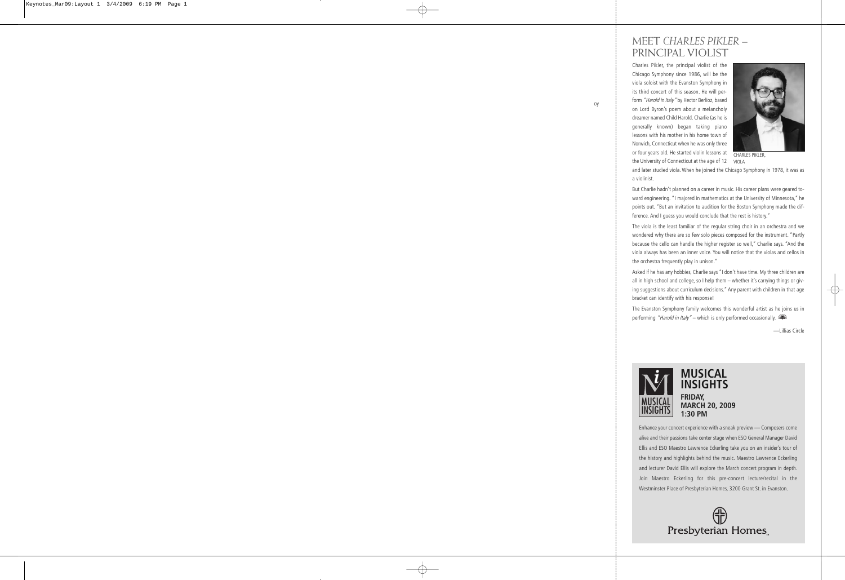#### MEET *CHARLES PIKLER* – PRINCIPAL VIOLIST

Charles Pikler, the principal violist of the Chicago Symphony since 1986, will be the viola soloist with the Evanston Symphony in its third concert of this season. He will perform "Harold in Italy" by Hector Berlioz, based on Lord Byron's poem about a melancholy dreamer named Child Harold. Charlie (as he is generally known) began taking piano lessons with his mother in his home town of Norwich, Connecticut when he was only three or four years old. He started violin lessons at the University of Connecticut at the age of 12



CHARLES PIKLER, VIOLA

and later studied viola. When he joined the Chicago Symphony in 1978, it was as a violinist.

But Charlie hadn't planned on a career in music. His career plans were geared toward engineering. "I majored in mathematics at the University of Minnesota," he points out. "But an invitation to audition for the Boston Symphony made the difference. And I guess you would conclude that the rest is history."

The viola is the least familiar of the regular string choir in an orchestra and we wondered why there are so few solo pieces composed for the instrument. "Partly because the cello can handle the higher register so well," Charlie says. "And the viola always has been an inner voice. You will notice that the violas and cellos in the orchestra frequently play in unison."

Asked if he has any hobbies, Charlie says "I don't have time. My three children are all in high school and college, so I help them – whether it's carrying things or giving suggestions about curriculum decisions." Any parent with children in that age bracket can identify with his response!

The Evanston Symphony family welcomes this wonderful artist as he joins us in performing "Harold in Italy" – which is only performed occasionally.

—Lillias Circle



#### **MUSICAL INSIGHTS FRIDAY, MARCH 20, 2009 1:30 PM**

Enhance your concert experience with a sneak preview — Composers come alive and their passions take center stage when ESO General Manager David Ellis and ESO Maestro Lawrence Eckerling take you on an insider's tour of the history and highlights behind the music. Maestro Lawrence Eckerling and lecturer David Ellis will explore the March concert program in depth. Join Maestro Eckerling for this pre-concert lecture/recital in the Westminster Place of Presbyterian Homes, 3200 Grant St. in Evanston.